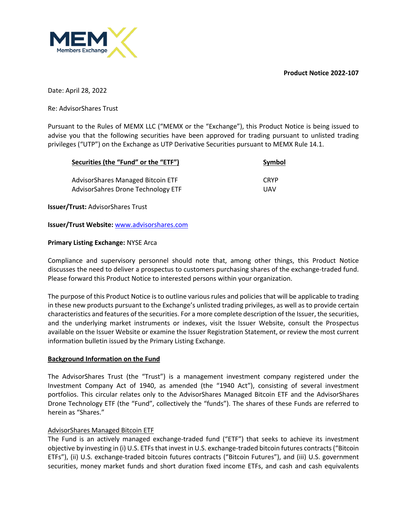**Product Notice 2022-107**



Date: April 28, 2022

Re: AdvisorShares Trust

Pursuant to the Rules of MEMX LLC ("MEMX or the "Exchange"), this Product Notice is being issued to advise you that the following securities have been approved for trading pursuant to unlisted trading privileges ("UTP") on the Exchange as UTP Derivative Securities pursuant to MEMX Rule 14.1.

| Securities (the "Fund" or the "ETF") | Symbol      |
|--------------------------------------|-------------|
| AdvisorShares Managed Bitcoin ETF    | <b>CRYP</b> |
| AdvisorSahres Drone Technology ETF   | UAV         |

**Issuer/Trust:** AdvisorShares Trust

**Issuer/Trust Website:** www.advisorshares.com

## **Primary Listing Exchange:** NYSE Arca

Compliance and supervisory personnel should note that, among other things, this Product Notice discusses the need to deliver a prospectus to customers purchasing shares of the exchange-traded fund. Please forward this Product Notice to interested persons within your organization.

The purpose of this Product Notice is to outline various rules and policies that will be applicable to trading in these new products pursuant to the Exchange's unlisted trading privileges, as well as to provide certain characteristics and features of the securities. For a more complete description of the Issuer, the securities, and the underlying market instruments or indexes, visit the Issuer Website, consult the Prospectus available on the Issuer Website or examine the Issuer Registration Statement, or review the most current information bulletin issued by the Primary Listing Exchange.

#### **Background Information on the Fund**

The AdvisorShares Trust (the "Trust") is a management investment company registered under the Investment Company Act of 1940, as amended (the "1940 Act"), consisting of several investment portfolios. This circular relates only to the AdvisorShares Managed Bitcoin ETF and the AdvisorShares Drone Technology ETF (the "Fund", collectively the "funds"). The shares of these Funds are referred to herein as "Shares."

# AdvisorShares Managed Bitcoin ETF

The Fund is an actively managed exchange-traded fund ("ETF") that seeks to achieve its investment objective by investing in (i) U.S. ETFs that invest in U.S. exchange-traded bitcoin futures contracts ("Bitcoin ETFs"), (ii) U.S. exchange-traded bitcoin futures contracts ("Bitcoin Futures"), and (iii) U.S. government securities, money market funds and short duration fixed income ETFs, and cash and cash equivalents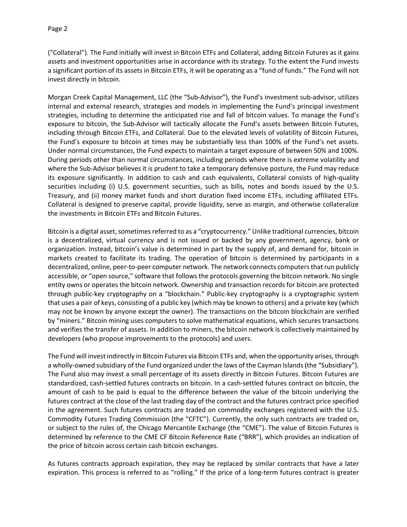("Collateral"). The Fund initially will invest in Bitcoin ETFs and Collateral, adding Bitcoin Futures as it gains assets and investment opportunities arise in accordance with its strategy. To the extent the Fund invests a significant portion of its assets in Bitcoin ETFs, it will be operating as a "fund of funds." The Fund will not invest directly in bitcoin.

Morgan Creek Capital Management, LLC (the "Sub-Advisor"), the Fund's investment sub-advisor, utilizes internal and external research, strategies and models in implementing the Fund's principal investment strategies, including to determine the anticipated rise and fall of bitcoin values. To manage the Fund's exposure to bitcoin, the Sub-Advisor will tactically allocate the Fund's assets between Bitcoin Futures, including through Bitcoin ETFs, and Collateral. Due to the elevated levels of volatility of Bitcoin Futures, the Fund's exposure to bitcoin at times may be substantially less than 100% of the Fund's net assets. Under normal circumstances, the Fund expects to maintain a target exposure of between 50% and 100%. During periods other than normal circumstances, including periods where there is extreme volatility and where the Sub-Advisor believes it is prudent to take a temporary defensive posture, the Fund may reduce its exposure significantly. In addition to cash and cash equivalents, Collateral consists of high-quality securities including (i) U.S. government securities, such as bills, notes and bonds issued by the U.S. Treasury, and (ii) money market funds and short duration fixed income ETFs, including affiliated ETFs. Collateral is designed to preserve capital, provide liquidity, serve as margin, and otherwise collateralize the investments in Bitcoin ETFs and Bitcoin Futures.

Bitcoin is a digital asset, sometimes referred to as a "cryptocurrency." Unlike traditional currencies, bitcoin is a decentralized, virtual currency and is not issued or backed by any government, agency, bank or organization. Instead, bitcoin's value is determined in part by the supply of, and demand for, bitcoin in markets created to facilitate its trading. The operation of bitcoin is determined by participants in a decentralized, online, peer-to-peer computer network. The network connects computers that run publicly accessible, or "open source," software that follows the protocols governing the bitcoin network. No single entity owns or operates the bitcoin network. Ownership and transaction records for bitcoin are protected through public-key cryptography on a "blockchain." Public-key cryptography is a cryptographic system that uses a pair of keys, consisting of a public key (which may be known to others) and a private key (which may not be known by anyone except the owner). The transactions on the bitcoin blockchain are verified by "miners." Bitcoin mining uses computers to solve mathematical equations, which secures transactions and verifies the transfer of assets. In addition to miners, the bitcoin network is collectively maintained by developers (who propose improvements to the protocols) and users.

The Fund will invest indirectly in Bitcoin Futures via Bitcoin ETFs and, when the opportunity arises, through a wholly-owned subsidiary of the Fund organized under the laws of the Cayman Islands (the "Subsidiary"). The Fund also may invest a small percentage of its assets directly in Bitcoin Futures. Bitcoin Futures are standardized, cash-settled futures contracts on bitcoin. In a cash-settled futures contract on bitcoin, the amount of cash to be paid is equal to the difference between the value of the bitcoin underlying the futures contract at the close of the last trading day of the contract and the futures contract price specified in the agreement. Such futures contracts are traded on commodity exchanges registered with the U.S. Commodity Futures Trading Commission (the "CFTC"). Currently, the only such contracts are traded on, or subject to the rules of, the Chicago Mercantile Exchange (the "CME"). The value of Bitcoin Futures is determined by reference to the CME CF Bitcoin Reference Rate ("BRR"), which provides an indication of the price of bitcoin across certain cash bitcoin exchanges.

As futures contracts approach expiration, they may be replaced by similar contracts that have a later expiration. This process is referred to as "rolling." If the price of a long-term futures contract is greater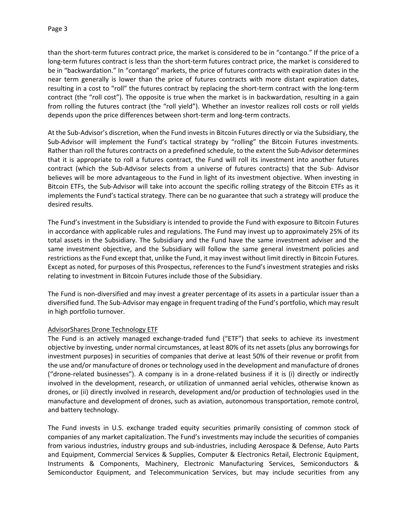than the short-term futures contract price, the market is considered to be in "contango." If the price of a long-term futures contract is less than the short-term futures contract price, the market is considered to be in "backwardation." In "contango" markets, the price of futures contracts with expiration dates in the near term generally is lower than the price of futures contracts with more distant expiration dates, resulting in a cost to "roll" the futures contract by replacing the short-term contract with the long-term contract (the "roll cost"). The opposite is true when the market is in backwardation, resulting in a gain from rolling the futures contract (the "roll yield"). Whether an investor realizes roll costs or roll yields

depends upon the price differences between short-term and long-term contracts.

At the Sub-Advisor's discretion, when the Fund invests in Bitcoin Futures directly or via the Subsidiary, the Sub-Advisor will implement the Fund's tactical strategy by "rolling" the Bitcoin Futures investments. Rather than roll the futures contracts on a predefined schedule, to the extent the Sub-Advisor determines that it is appropriate to roll a futures contract, the Fund will roll its investment into another futures contract (which the Sub-Advisor selects from a universe of futures contracts) that the Sub- Advisor believes will be more advantageous to the Fund in light of its investment objective. When investing in Bitcoin ETFs, the Sub-Advisor will take into account the specific rolling strategy of the Bitcoin ETFs as it implements the Fund's tactical strategy. There can be no guarantee that such a strategy will produce the desired results.

The Fund's investment in the Subsidiary is intended to provide the Fund with exposure to Bitcoin Futures in accordance with applicable rules and regulations. The Fund may invest up to approximately 25% of its total assets in the Subsidiary. The Subsidiary and the Fund have the same investment adviser and the same investment objective, and the Subsidiary will follow the same general investment policies and restrictions as the Fund except that, unlike the Fund, it may invest without limit directly in Bitcoin Futures. Except as noted, for purposes of this Prospectus, references to the Fund's investment strategies and risks relating to investment in Bitcoin Futures include those of the Subsidiary.

The Fund is non-diversified and may invest a greater percentage of its assets in a particular issuer than a diversified fund. The Sub-Advisor may engage in frequent trading of the Fund's portfolio, which may result in high portfolio turnover.

# AdvisorShares Drone Technology ETF

The Fund is an actively managed exchange-traded fund ("ETF") that seeks to achieve its investment objective by investing, under normal circumstances, at least 80% of its net assets (plus any borrowings for investment purposes) in securities of companies that derive at least 50% of their revenue or profit from the use and/or manufacture of drones or technology used in the development and manufacture of drones ("drone-related businesses"). A company is in a drone-related business if it is (i) directly or indirectly involved in the development, research, or utilization of unmanned aerial vehicles, otherwise known as drones, or (ii) directly involved in research, development and/or production of technologies used in the manufacture and development of drones, such as aviation, autonomous transportation, remote control, and battery technology.

The Fund invests in U.S. exchange traded equity securities primarily consisting of common stock of companies of any market capitalization. The Fund's investments may include the securities of companies from various industries, industry groups and sub-industries, including Aerospace & Defense, Auto Parts and Equipment, Commercial Services & Supplies, Computer & Electronics Retail, Electronic Equipment, Instruments & Components, Machinery, Electronic Manufacturing Services, Semiconductors & Semiconductor Equipment, and Telecommunication Services, but may include securities from any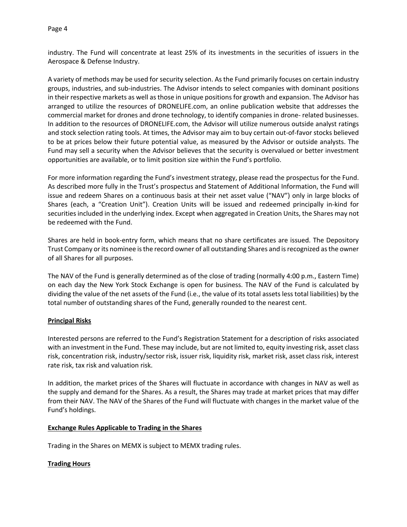industry. The Fund will concentrate at least 25% of its investments in the securities of issuers in the Aerospace & Defense Industry.

A variety of methods may be used for security selection. As the Fund primarily focuses on certain industry groups, industries, and sub-industries. The Advisor intends to select companies with dominant positions in their respective markets as well as those in unique positions for growth and expansion. The Advisor has arranged to utilize the resources of DRONELIFE.com, an online publication website that addresses the commercial market for drones and drone technology, to identify companies in drone- related businesses. In addition to the resources of DRONELIFE.com, the Advisor will utilize numerous outside analyst ratings and stock selection rating tools. At times, the Advisor may aim to buy certain out-of-favor stocks believed to be at prices below their future potential value, as measured by the Advisor or outside analysts. The Fund may sell a security when the Advisor believes that the security is overvalued or better investment opportunities are available, or to limit position size within the Fund's portfolio.

For more information regarding the Fund's investment strategy, please read the prospectus for the Fund. As described more fully in the Trust's prospectus and Statement of Additional Information, the Fund will issue and redeem Shares on a continuous basis at their net asset value ("NAV") only in large blocks of Shares (each, a "Creation Unit"). Creation Units will be issued and redeemed principally in-kind for securities included in the underlying index. Except when aggregated in Creation Units, the Shares may not be redeemed with the Fund.

Shares are held in book-entry form, which means that no share certificates are issued. The Depository Trust Company or its nominee is the record owner of all outstanding Shares and is recognized as the owner of all Shares for all purposes.

The NAV of the Fund is generally determined as of the close of trading (normally 4:00 p.m., Eastern Time) on each day the New York Stock Exchange is open for business. The NAV of the Fund is calculated by dividing the value of the net assets of the Fund (i.e., the value of its total assets less total liabilities) by the total number of outstanding shares of the Fund, generally rounded to the nearest cent.

# **Principal Risks**

Interested persons are referred to the Fund's Registration Statement for a description of risks associated with an investment in the Fund. These may include, but are not limited to, equity investing risk, asset class risk, concentration risk, industry/sector risk, issuer risk, liquidity risk, market risk, asset class risk, interest rate risk, tax risk and valuation risk.

In addition, the market prices of the Shares will fluctuate in accordance with changes in NAV as well as the supply and demand for the Shares. As a result, the Shares may trade at market prices that may differ from their NAV. The NAV of the Shares of the Fund will fluctuate with changes in the market value of the Fund's holdings.

#### **Exchange Rules Applicable to Trading in the Shares**

Trading in the Shares on MEMX is subject to MEMX trading rules.

# **Trading Hours**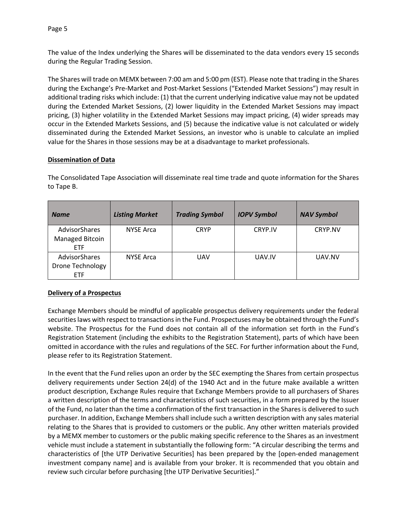Page 5

The value of the Index underlying the Shares will be disseminated to the data vendors every 15 seconds during the Regular Trading Session.

The Shares will trade on MEMX between 7:00 am and 5:00 pm (EST). Please note that trading in the Shares during the Exchange's Pre-Market and Post-Market Sessions ("Extended Market Sessions") may result in additional trading risks which include: (1) that the current underlying indicative value may not be updated during the Extended Market Sessions, (2) lower liquidity in the Extended Market Sessions may impact pricing, (3) higher volatility in the Extended Market Sessions may impact pricing, (4) wider spreads may occur in the Extended Markets Sessions, and (5) because the indicative value is not calculated or widely disseminated during the Extended Market Sessions, an investor who is unable to calculate an implied value for the Shares in those sessions may be at a disadvantage to market professionals.

# **Dissemination of Data**

| <b>Name</b>                                            | <b>Listing Market</b> | <b>Trading Symbol</b> | <b>IOPV Symbol</b> | <b>NAV Symbol</b> |
|--------------------------------------------------------|-----------------------|-----------------------|--------------------|-------------------|
| AdvisorShares<br>Managed Bitcoin<br>ETF                | <b>NYSE Arca</b>      | <b>CRYP</b>           | CRYP.IV            | CRYP.NV           |
| AdvisorShares<br><b>Drone Technology</b><br><b>ETF</b> | <b>NYSE Arca</b>      | <b>UAV</b>            | UAV.IV             | UAV.NV            |

The Consolidated Tape Association will disseminate real time trade and quote information for the Shares to Tape B.

# **Delivery of a Prospectus**

Exchange Members should be mindful of applicable prospectus delivery requirements under the federal securities laws with respect to transactions in the Fund. Prospectuses may be obtained through the Fund's website. The Prospectus for the Fund does not contain all of the information set forth in the Fund's Registration Statement (including the exhibits to the Registration Statement), parts of which have been omitted in accordance with the rules and regulations of the SEC. For further information about the Fund, please refer to its Registration Statement.

In the event that the Fund relies upon an order by the SEC exempting the Shares from certain prospectus delivery requirements under Section 24(d) of the 1940 Act and in the future make available a written product description, Exchange Rules require that Exchange Members provide to all purchasers of Shares a written description of the terms and characteristics of such securities, in a form prepared by the Issuer of the Fund, no later than the time a confirmation of the first transaction in the Shares is delivered to such purchaser. In addition, Exchange Members shall include such a written description with any sales material relating to the Shares that is provided to customers or the public. Any other written materials provided by a MEMX member to customers or the public making specific reference to the Shares as an investment vehicle must include a statement in substantially the following form: "A circular describing the terms and characteristics of [the UTP Derivative Securities] has been prepared by the [open-ended management investment company name] and is available from your broker. It is recommended that you obtain and review such circular before purchasing [the UTP Derivative Securities]."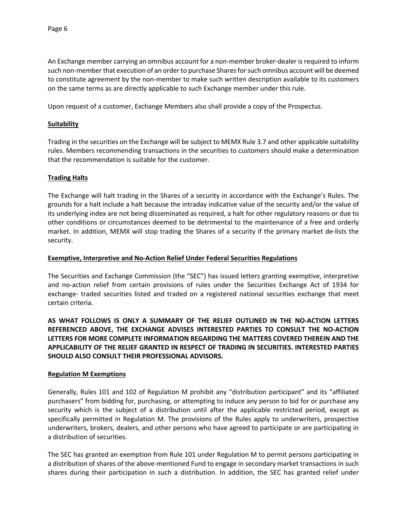An Exchange member carrying an omnibus account for a non-member broker-dealer is required to inform such non-member that execution of an order to purchase Shares for such omnibus account will be deemed to constitute agreement by the non-member to make such written description available to its customers on the same terms as are directly applicable to such Exchange member under this rule.

Upon request of a customer, Exchange Members also shall provide a copy of the Prospectus.

## **Suitability**

Trading in the securities on the Exchange will be subject to MEMX Rule 3.7 and other applicable suitability rules. Members recommending transactions in the securities to customers should make a determination that the recommendation is suitable for the customer.

## **Trading Halts**

The Exchange will halt trading in the Shares of a security in accordance with the Exchange's Rules. The grounds for a halt include a halt because the intraday indicative value of the security and/or the value of its underlying index are not being disseminated as required, a halt for other regulatory reasons or due to other conditions or circumstances deemed to be detrimental to the maintenance of a free and orderly market. In addition, MEMX will stop trading the Shares of a security if the primary market de-lists the security.

## **Exemptive, Interpretive and No-Action Relief Under Federal Securities Regulations**

The Securities and Exchange Commission (the "SEC") has issued letters granting exemptive, interpretive and no-action relief from certain provisions of rules under the Securities Exchange Act of 1934 for exchange- traded securities listed and traded on a registered national securities exchange that meet certain criteria.

**AS WHAT FOLLOWS IS ONLY A SUMMARY OF THE RELIEF OUTLINED IN THE NO-ACTION LETTERS REFERENCED ABOVE, THE EXCHANGE ADVISES INTERESTED PARTIES TO CONSULT THE NO-ACTION LETTERS FOR MORE COMPLETE INFORMATION REGARDING THE MATTERS COVERED THEREIN AND THE APPLICABILITY OF THE RELIEF GRANTED IN RESPECT OF TRADING IN SECURITIES. INTERESTED PARTIES SHOULD ALSO CONSULT THEIR PROFESSIONAL ADVISORS.**

#### **Regulation M Exemptions**

Generally, Rules 101 and 102 of Regulation M prohibit any "distribution participant" and its "affiliated purchasers" from bidding for, purchasing, or attempting to induce any person to bid for or purchase any security which is the subject of a distribution until after the applicable restricted period, except as specifically permitted in Regulation M. The provisions of the Rules apply to underwriters, prospective underwriters, brokers, dealers, and other persons who have agreed to participate or are participating in a distribution of securities.

The SEC has granted an exemption from Rule 101 under Regulation M to permit persons participating in a distribution of shares of the above-mentioned Fund to engage in secondary market transactions in such shares during their participation in such a distribution. In addition, the SEC has granted relief under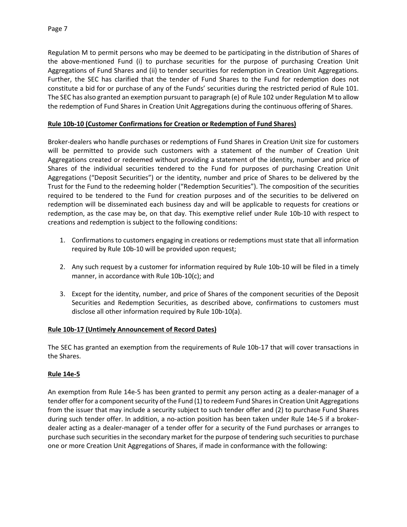Regulation M to permit persons who may be deemed to be participating in the distribution of Shares of the above-mentioned Fund (i) to purchase securities for the purpose of purchasing Creation Unit Aggregations of Fund Shares and (ii) to tender securities for redemption in Creation Unit Aggregations. Further, the SEC has clarified that the tender of Fund Shares to the Fund for redemption does not constitute a bid for or purchase of any of the Funds' securities during the restricted period of Rule 101. The SEC has also granted an exemption pursuant to paragraph (e) of Rule 102 under Regulation M to allow the redemption of Fund Shares in Creation Unit Aggregations during the continuous offering of Shares.

# **Rule 10b-10 (Customer Confirmations for Creation or Redemption of Fund Shares)**

Broker-dealers who handle purchases or redemptions of Fund Shares in Creation Unit size for customers will be permitted to provide such customers with a statement of the number of Creation Unit Aggregations created or redeemed without providing a statement of the identity, number and price of Shares of the individual securities tendered to the Fund for purposes of purchasing Creation Unit Aggregations ("Deposit Securities") or the identity, number and price of Shares to be delivered by the Trust for the Fund to the redeeming holder ("Redemption Securities"). The composition of the securities required to be tendered to the Fund for creation purposes and of the securities to be delivered on redemption will be disseminated each business day and will be applicable to requests for creations or redemption, as the case may be, on that day. This exemptive relief under Rule 10b-10 with respect to creations and redemption is subject to the following conditions:

- 1. Confirmations to customers engaging in creations or redemptions must state that all information required by Rule 10b-10 will be provided upon request;
- 2. Any such request by a customer for information required by Rule 10b-10 will be filed in a timely manner, in accordance with Rule 10b-10(c); and
- 3. Except for the identity, number, and price of Shares of the component securities of the Deposit Securities and Redemption Securities, as described above, confirmations to customers must disclose all other information required by Rule 10b-10(a).

# **Rule 10b-17 (Untimely Announcement of Record Dates)**

The SEC has granted an exemption from the requirements of Rule 10b-17 that will cover transactions in the Shares.

# **Rule 14e-5**

An exemption from Rule 14e-5 has been granted to permit any person acting as a dealer-manager of a tender offer for a component security of the Fund (1) to redeem Fund Shares in Creation Unit Aggregations from the issuer that may include a security subject to such tender offer and (2) to purchase Fund Shares during such tender offer. In addition, a no-action position has been taken under Rule 14e-5 if a brokerdealer acting as a dealer-manager of a tender offer for a security of the Fund purchases or arranges to purchase such securities in the secondary market for the purpose of tendering such securities to purchase one or more Creation Unit Aggregations of Shares, if made in conformance with the following: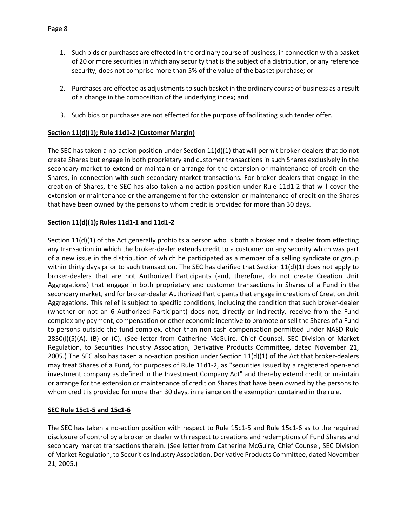- 1. Such bids or purchases are effected in the ordinary course of business, in connection with a basket of 20 or more securities in which any security that is the subject of a distribution, or any reference security, does not comprise more than 5% of the value of the basket purchase; or
- 2. Purchases are effected as adjustments to such basket in the ordinary course of business as a result of a change in the composition of the underlying index; and
- 3. Such bids or purchases are not effected for the purpose of facilitating such tender offer.

# **Section 11(d)(1); Rule 11d1-2 (Customer Margin)**

The SEC has taken a no-action position under Section  $11(d)(1)$  that will permit broker-dealers that do not create Shares but engage in both proprietary and customer transactions in such Shares exclusively in the secondary market to extend or maintain or arrange for the extension or maintenance of credit on the Shares, in connection with such secondary market transactions. For broker-dealers that engage in the creation of Shares, the SEC has also taken a no-action position under Rule 11d1-2 that will cover the extension or maintenance or the arrangement for the extension or maintenance of credit on the Shares that have been owned by the persons to whom credit is provided for more than 30 days.

# **Section 11(d)(1); Rules 11d1-1 and 11d1-2**

Section 11(d)(1) of the Act generally prohibits a person who is both a broker and a dealer from effecting any transaction in which the broker-dealer extends credit to a customer on any security which was part of a new issue in the distribution of which he participated as a member of a selling syndicate or group within thirty days prior to such transaction. The SEC has clarified that Section 11(d)(1) does not apply to broker-dealers that are not Authorized Participants (and, therefore, do not create Creation Unit Aggregations) that engage in both proprietary and customer transactions in Shares of a Fund in the secondary market, and for broker-dealer Authorized Participants that engage in creations of Creation Unit Aggregations. This relief is subject to specific conditions, including the condition that such broker-dealer (whether or not an 6 Authorized Participant) does not, directly or indirectly, receive from the Fund complex any payment, compensation or other economic incentive to promote or sell the Shares of a Fund to persons outside the fund complex, other than non-cash compensation permitted under NASD Rule 2830(l)(5)(A), (B) or (C). (See letter from Catherine McGuire, Chief Counsel, SEC Division of Market Regulation, to Securities Industry Association, Derivative Products Committee, dated November 21, 2005.) The SEC also has taken a no-action position under Section  $11(d)(1)$  of the Act that broker-dealers may treat Shares of a Fund, for purposes of Rule 11d1-2, as "securities issued by a registered open-end investment company as defined in the Investment Company Act" and thereby extend credit or maintain or arrange for the extension or maintenance of credit on Shares that have been owned by the persons to whom credit is provided for more than 30 days, in reliance on the exemption contained in the rule.

# **SEC Rule 15c1-5 and 15c1-6**

The SEC has taken a no-action position with respect to Rule 15c1-5 and Rule 15c1-6 as to the required disclosure of control by a broker or dealer with respect to creations and redemptions of Fund Shares and secondary market transactions therein. (See letter from Catherine McGuire, Chief Counsel, SEC Division of Market Regulation, to Securities Industry Association, Derivative Products Committee, dated November 21, 2005.)